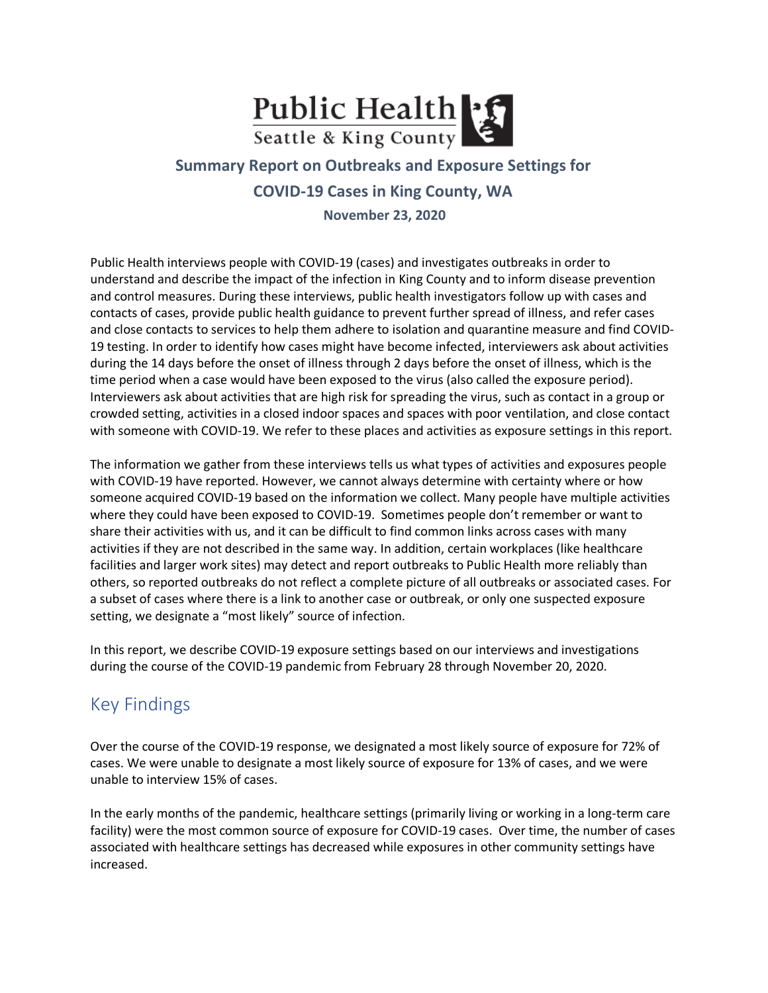

## **Summary Report on Outbreaks and Exposure Settings for COVID-19 Cases in King County, WA November 23, 2020**

Public Health interviews people with COVID-19 (cases) and investigates outbreaks in order to understand and describe the impact of the infection in King County and to inform disease prevention and control measures. During these interviews, public health investigators follow up with cases and contacts of cases, provide public health guidance to prevent further spread of illness, and refer cases and close contacts to services to help them adhere to isolation and quarantine measure and find COVID-19 testing. In order to identify how cases might have become infected, interviewers ask about activities during the 14 days before the onset of illness through 2 days before the onset of illness, which is the time period when a case would have been exposed to the virus (also called the exposure period). Interviewers ask about activities that are high risk for spreading the virus, such as contact in a group or crowded setting, activities in a closed indoor spaces and spaces with poor ventilation, and close contact with someone with COVID-19. We refer to these places and activities as exposure settings in this report.

The information we gather from these interviews tells us what types of activities and exposures people with COVID-19 have reported. However, we cannot always determine with certainty where or how someone acquired COVID-19 based on the information we collect. Many people have multiple activities where they could have been exposed to COVID-19. Sometimes people don't remember or want to share their activities with us, and it can be difficult to find common links across cases with many activities if they are not described in the same way. In addition, certain workplaces (like healthcare facilities and larger work sites) may detect and report outbreaks to Public Health more reliably than others, so reported outbreaks do not reflect a complete picture of all outbreaks or associated cases. For a subset of cases where there is a link to another case or outbreak, or only one suspected exposure setting, we designate a "most likely" source of infection.

In this report, we describe COVID-19 exposure settings based on our interviews and investigations during the course of the COVID-19 pandemic from February 28 through November 20, 2020.

# Key Findings

Over the course of the COVID-19 response, we designated a most likely source of exposure for 72% of cases. We were unable to designate a most likely source of exposure for 13% of cases, and we were unable to interview 15% of cases.

In the early months of the pandemic, healthcare settings (primarily living or working in a long-term care facility) were the most common source of exposure for COVID-19 cases. Over time, the number of cases associated with healthcare settings has decreased while exposures in other community settings have increased.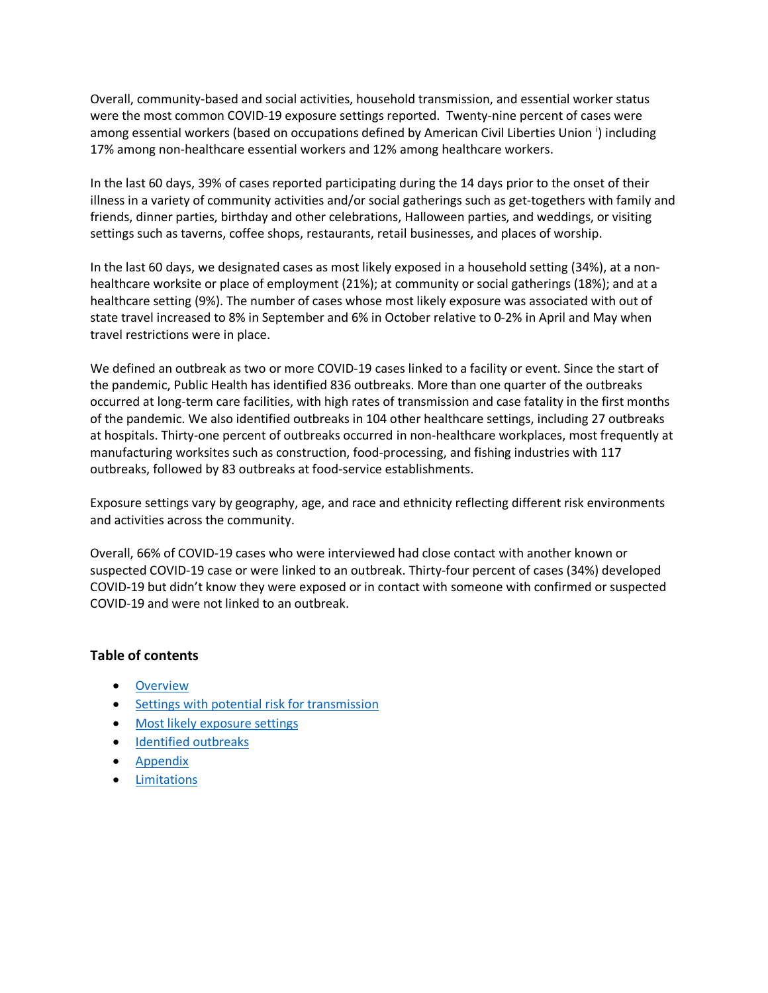Overall, community-based and social activities, household transmission, and essential worker status were the most common COVID-19 exposure settings reported. Twenty-nine percent of cases were among essent[i](#page-17-1)al workers (based on occupations defined by American Civil Liberties Union <sup>i</sup>) including 17% among non-healthcare essential workers and 12% among healthcare workers.

In the last 60 days, 39% of cases reported participating during the 14 days prior to the onset of their illness in a variety of community activities and/or social gatherings such as get-togethers with family and friends, dinner parties, birthday and other celebrations, Halloween parties, and weddings, or visiting settings such as taverns, coffee shops, restaurants, retail businesses, and places of worship.

In the last 60 days, we designated cases as most likely exposed in a household setting (34%), at a nonhealthcare worksite or place of employment (21%); at community or social gatherings (18%); and at a healthcare setting (9%). The number of cases whose most likely exposure was associated with out of state travel increased to 8% in September and 6% in October relative to 0-2% in April and May when travel restrictions were in place.

We defined an outbreak as two or more COVID-19 cases linked to a facility or event. Since the start of the pandemic, Public Health has identified 836 outbreaks. More than one quarter of the outbreaks occurred at long-term care facilities, with high rates of transmission and case fatality in the first months of the pandemic. We also identified outbreaks in 104 other healthcare settings, including 27 outbreaks at hospitals. Thirty-one percent of outbreaks occurred in non-healthcare workplaces, most frequently at manufacturing worksites such as construction, food-processing, and fishing industries with 117 outbreaks, followed by 83 outbreaks at food-service establishments.

Exposure settings vary by geography, age, and race and ethnicity reflecting different risk environments and activities across the community.

Overall, 66% of COVID-19 cases who were interviewed had close contact with another known or suspected COVID-19 case or were linked to an outbreak. Thirty-four percent of cases (34%) developed COVID-19 but didn't know they were exposed or in contact with someone with confirmed or suspected COVID-19 and were not linked to an outbreak.

#### **Table of contents**

- [Overview](#page-2-0)
- [Settings with potential risk for transmission](#page-2-1)
- [Most](#page-4-0) likely exposure settings
- [Identified outbreaks](#page-10-0)
- [Appendix](#page-12-0)
- [Limitations](#page-17-0)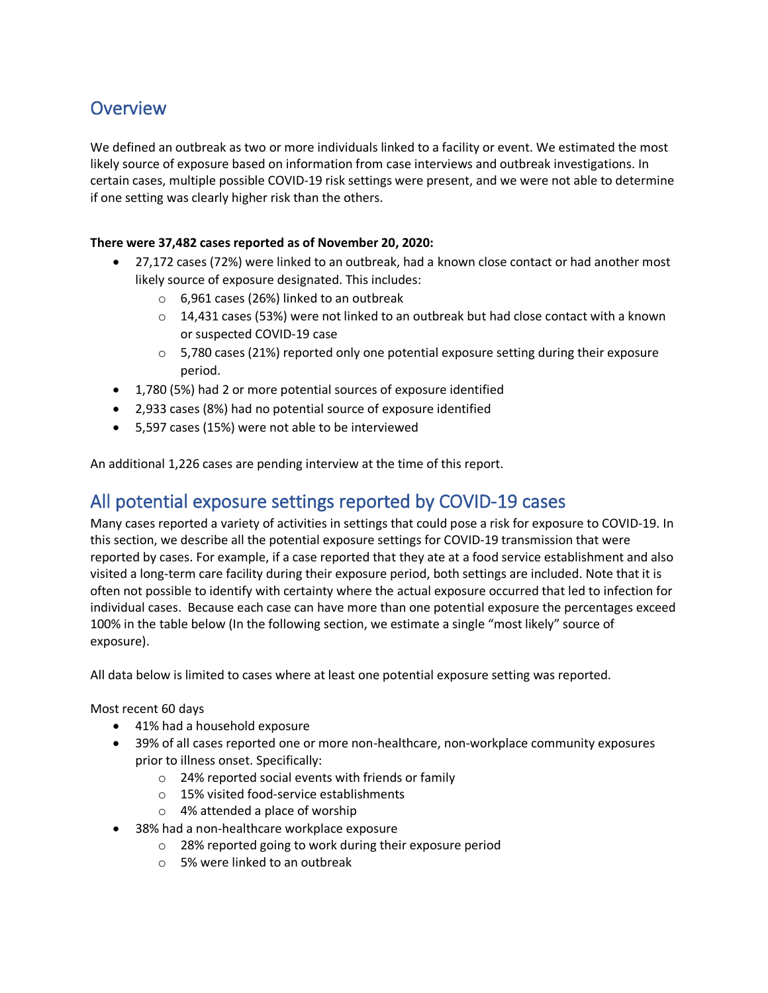## <span id="page-2-0"></span>**Overview**

We defined an outbreak as two or more individuals linked to a facility or event. We estimated the most likely source of exposure based on information from case interviews and outbreak investigations. In certain cases, multiple possible COVID-19 risk settings were present, and we were not able to determine if one setting was clearly higher risk than the others.

#### **There were 37,482 cases reported as of November 20, 2020:**

- 27,172 cases (72%) were linked to an outbreak, had a known close contact or had another most likely source of exposure designated. This includes:
	- o 6,961 cases (26%) linked to an outbreak
	- $\circ$  14,431 cases (53%) were not linked to an outbreak but had close contact with a known or suspected COVID-19 case
	- $\circ$  5,780 cases (21%) reported only one potential exposure setting during their exposure period.
- 1,780 (5%) had 2 or more potential sources of exposure identified
- 2,933 cases (8%) had no potential source of exposure identified
- 5,597 cases (15%) were not able to be interviewed

<span id="page-2-1"></span>An additional 1,226 cases are pending interview at the time of this report.

### All potential exposure settings reported by COVID-19 cases

Many cases reported a variety of activities in settings that could pose a risk for exposure to COVID-19. In this section, we describe all the potential exposure settings for COVID-19 transmission that were reported by cases. For example, if a case reported that they ate at a food service establishment and also visited a long-term care facility during their exposure period, both settings are included. Note that it is often not possible to identify with certainty where the actual exposure occurred that led to infection for individual cases. Because each case can have more than one potential exposure the percentages exceed 100% in the table below (In the following section, we estimate a single "most likely" source of exposure).

All data below is limited to cases where at least one potential exposure setting was reported.

Most recent 60 days

- 41% had a household exposure
- 39% of all cases reported one or more non-healthcare, non-workplace community exposures prior to illness onset. Specifically:
	- o 24% reported social events with friends or family
	- o 15% visited food-service establishments
	- o 4% attended a place of worship
- 38% had a non-healthcare workplace exposure
	- o 28% reported going to work during their exposure period
	- o 5% were linked to an outbreak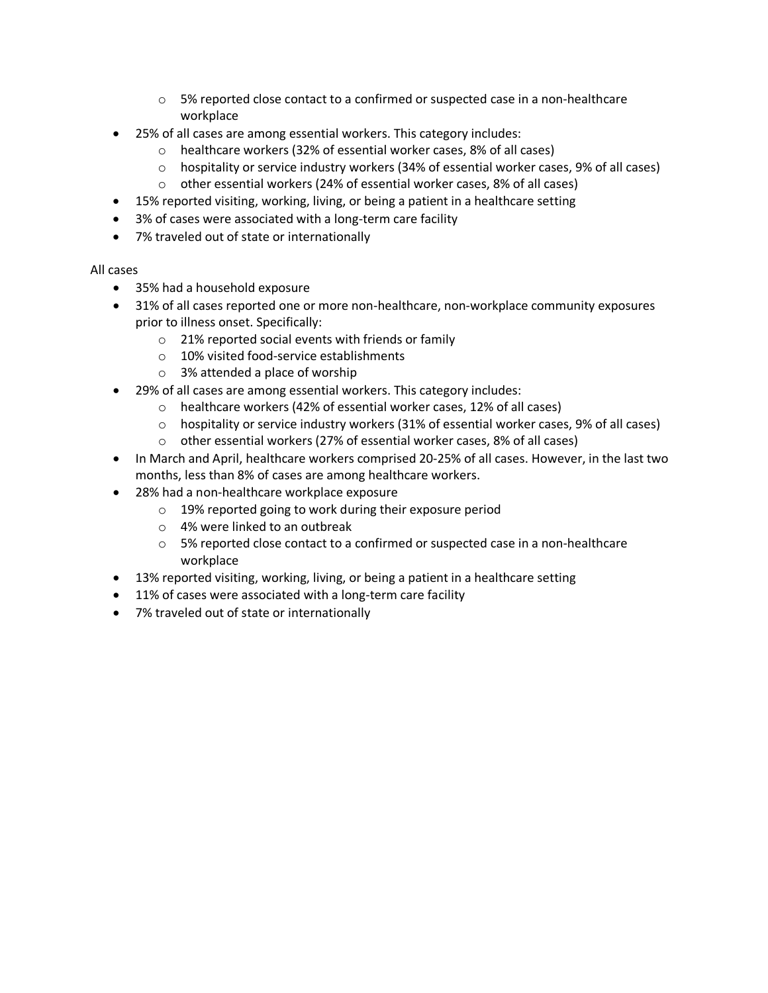- $\circ$  5% reported close contact to a confirmed or suspected case in a non-healthcare workplace
- 25% of all cases are among essential workers. This category includes:
	- o healthcare workers (32% of essential worker cases, 8% of all cases)
	- o hospitality or service industry workers (34% of essential worker cases, 9% of all cases)
	- o other essential workers (24% of essential worker cases, 8% of all cases)
- 15% reported visiting, working, living, or being a patient in a healthcare setting
- 3% of cases were associated with a long-term care facility
- 7% traveled out of state or internationally

#### All cases

- 35% had a household exposure
- 31% of all cases reported one or more non-healthcare, non-workplace community exposures prior to illness onset. Specifically:
	- o 21% reported social events with friends or family
	- o 10% visited food-service establishments
	- o 3% attended a place of worship
	- 29% of all cases are among essential workers. This category includes:
		- o healthcare workers (42% of essential worker cases, 12% of all cases)
		- o hospitality or service industry workers (31% of essential worker cases, 9% of all cases)
		- o other essential workers (27% of essential worker cases, 8% of all cases)
- In March and April, healthcare workers comprised 20-25% of all cases. However, in the last two months, less than 8% of cases are among healthcare workers.
- 28% had a non-healthcare workplace exposure
	- o 19% reported going to work during their exposure period
	- o 4% were linked to an outbreak
	- o 5% reported close contact to a confirmed or suspected case in a non-healthcare workplace
- 13% reported visiting, working, living, or being a patient in a healthcare setting
- 11% of cases were associated with a long-term care facility
- 7% traveled out of state or internationally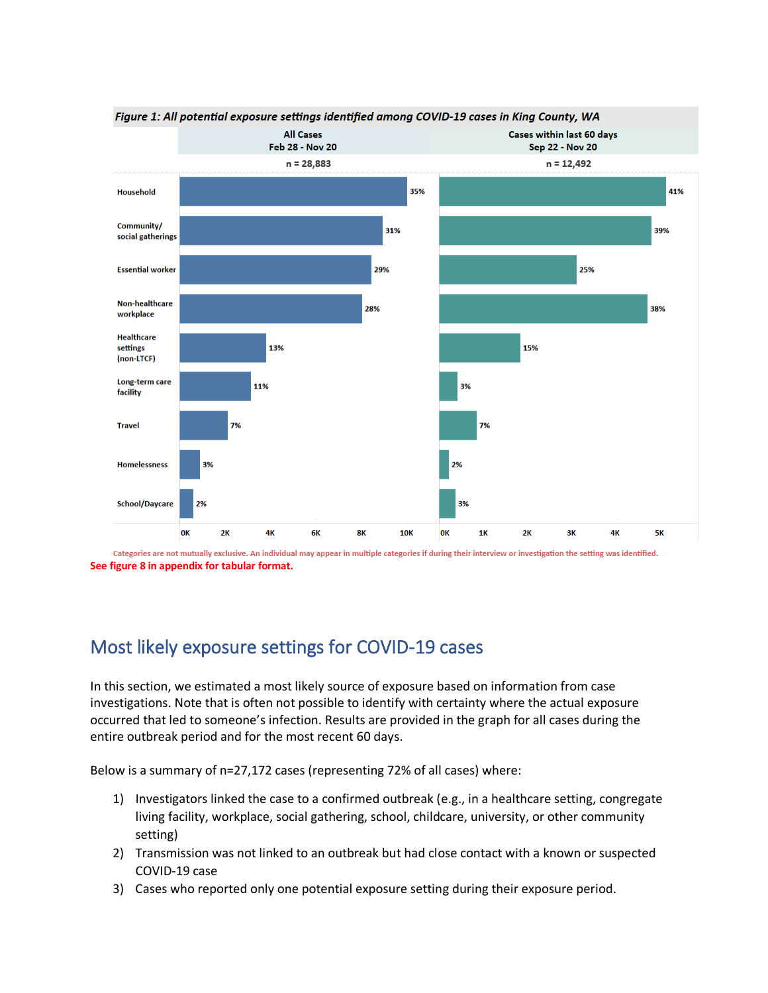

Categories are not mutually exclusive. An individual may appear in multiple categories if during their interview or investigation the setting was identified. **See figure 8 in appendix for tabular format.**

## <span id="page-4-0"></span>Most likely exposure settings for COVID-19 cases

In this section, we estimated a most likely source of exposure based on information from case investigations. Note that is often not possible to identify with certainty where the actual exposure occurred that led to someone's infection. Results are provided in the graph for all cases during the entire outbreak period and for the most recent 60 days.

Below is a summary of n=27,172 cases (representing 72% of all cases) where:

- 1) Investigators linked the case to a confirmed outbreak (e.g., in a healthcare setting, congregate living facility, workplace, social gathering, school, childcare, university, or other community setting)
- 2) Transmission was not linked to an outbreak but had close contact with a known or suspected COVID-19 case
- 3) Cases who reported only one potential exposure setting during their exposure period.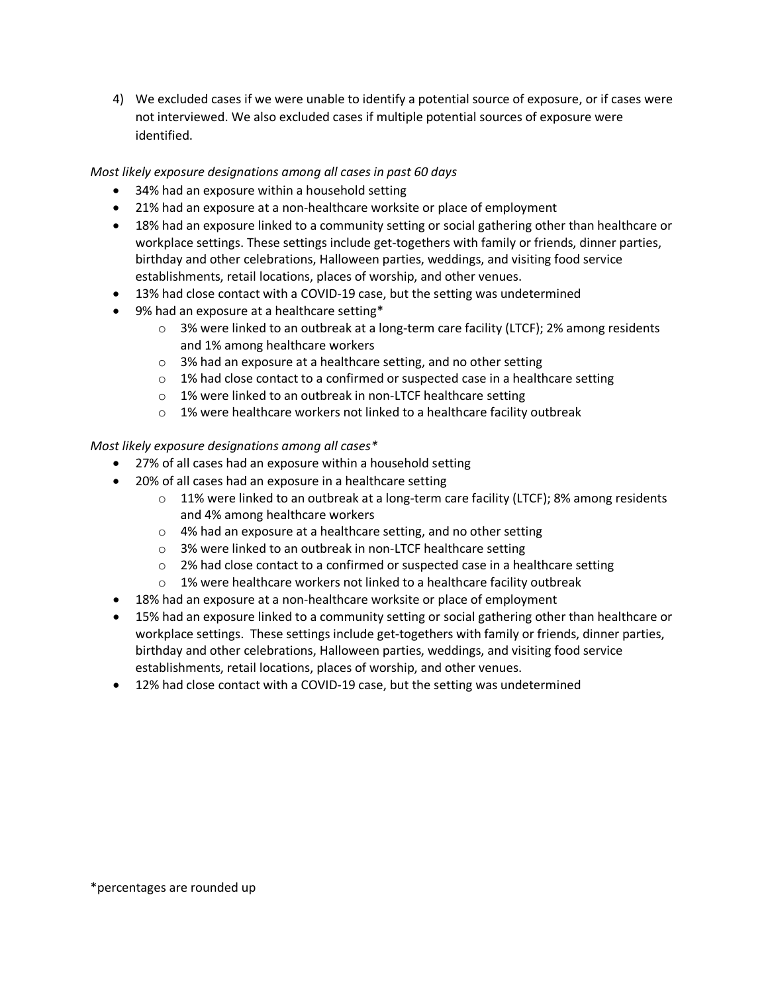4) We excluded cases if we were unable to identify a potential source of exposure, or if cases were not interviewed. We also excluded cases if multiple potential sources of exposure were identified.

*Most likely exposure designations among all cases in past 60 days*

- 34% had an exposure within a household setting
- 21% had an exposure at a non-healthcare worksite or place of employment
- 18% had an exposure linked to a community setting or social gathering other than healthcare or workplace settings. These settings include get-togethers with family or friends, dinner parties, birthday and other celebrations, Halloween parties, weddings, and visiting food service establishments, retail locations, places of worship, and other venues.
- 13% had close contact with a COVID-19 case, but the setting was undetermined
- 9% had an exposure at a healthcare setting\*
	- o 3% were linked to an outbreak at a long-term care facility (LTCF); 2% among residents and 1% among healthcare workers
	- o 3% had an exposure at a healthcare setting, and no other setting
	- o 1% had close contact to a confirmed or suspected case in a healthcare setting
	- o 1% were linked to an outbreak in non-LTCF healthcare setting
	- o 1% were healthcare workers not linked to a healthcare facility outbreak

#### *Most likely exposure designations among all cases\**

- 27% of all cases had an exposure within a household setting
- 20% of all cases had an exposure in a healthcare setting
	- $\circ$  11% were linked to an outbreak at a long-term care facility (LTCF); 8% among residents and 4% among healthcare workers
	- o 4% had an exposure at a healthcare setting, and no other setting
	- o 3% were linked to an outbreak in non-LTCF healthcare setting
	- o 2% had close contact to a confirmed or suspected case in a healthcare setting
	- $\circ$  1% were healthcare workers not linked to a healthcare facility outbreak
- 18% had an exposure at a non-healthcare worksite or place of employment
- 15% had an exposure linked to a community setting or social gathering other than healthcare or workplace settings. These settings include get-togethers with family or friends, dinner parties, birthday and other celebrations, Halloween parties, weddings, and visiting food service establishments, retail locations, places of worship, and other venues.
- 12% had close contact with a COVID-19 case, but the setting was undetermined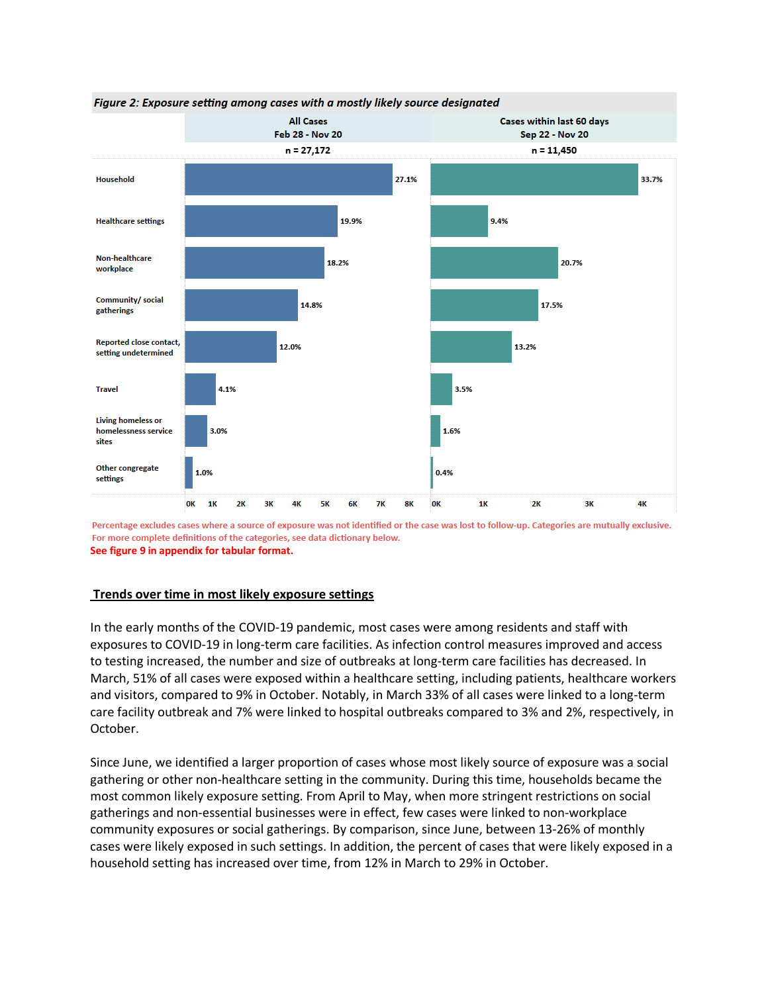

Figure 2: Exposure setting among cases with a mostly likely source designated

Percentage excludes cases where a source of exposure was not identified or the case was lost to follow-up. Categories are mutually exclusive. For more complete definitions of the categories, see data dictionary below. **See figure 9 in appendix for tabular format.**

#### **Trends over time in most likely exposure settings**

In the early months of the COVID-19 pandemic, most cases were among residents and staff with exposures to COVID-19 in long-term care facilities. As infection control measures improved and access to testing increased, the number and size of outbreaks at long-term care facilities has decreased. In March, 51% of all cases were exposed within a healthcare setting, including patients, healthcare workers and visitors, compared to 9% in October. Notably, in March 33% of all cases were linked to a long-term care facility outbreak and 7% were linked to hospital outbreaks compared to 3% and 2%, respectively, in October.

Since June, we identified a larger proportion of cases whose most likely source of exposure was a social gathering or other non-healthcare setting in the community. During this time, households became the most common likely exposure setting. From April to May, when more stringent restrictions on social gatherings and non-essential businesses were in effect, few cases were linked to non-workplace community exposures or social gatherings. By comparison, since June, between 13-26% of monthly cases were likely exposed in such settings. In addition, the percent of cases that were likely exposed in a household setting has increased over time, from 12% in March to 29% in October.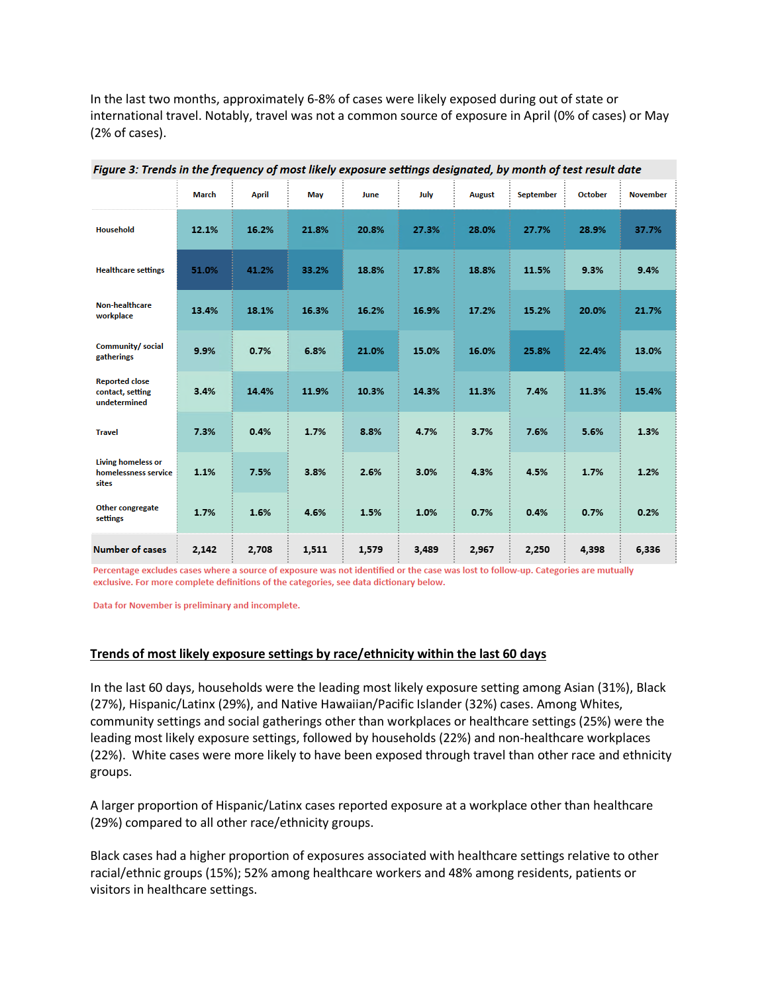In the last two months, approximately 6-8% of cases were likely exposed during out of state or international travel. Notably, travel was not a common source of exposure in April (0% of cases) or May (2% of cases).

|                                                            | <b>March</b> | <b>April</b> | May   | June  | July  | August | September | October | <b>November</b> |
|------------------------------------------------------------|--------------|--------------|-------|-------|-------|--------|-----------|---------|-----------------|
| <b>Household</b>                                           | 12.1%        | 16.2%        | 21.8% | 20.8% | 27.3% | 28.0%  | 27.7%     | 28.9%   | 37.7%           |
| <b>Healthcare settings</b>                                 | 51.0%        | 41.2%        | 33.2% | 18.8% | 17.8% | 18.8%  | 11.5%     | 9.3%    | 9.4%            |
| Non-healthcare<br>workplace                                | 13.4%        | 18.1%        | 16.3% | 16.2% | 16.9% | 17.2%  | 15.2%     | 20.0%   | 21.7%           |
| Community/ social<br>gatherings                            | 9.9%         | 0.7%         | 6.8%  | 21.0% | 15.0% | 16.0%  | 25.8%     | 22.4%   | 13.0%           |
| <b>Reported close</b><br>contact, setting<br>undetermined  | 3.4%         | 14.4%        | 11.9% | 10.3% | 14.3% | 11.3%  | 7.4%      | 11.3%   | 15.4%           |
| <b>Travel</b>                                              | 7.3%         | 0.4%         | 1.7%  | 8.8%  | 4.7%  | 3.7%   | 7.6%      | 5.6%    | 1.3%            |
| <b>Living homeless or</b><br>homelessness service<br>sites | 1.1%         | 7.5%         | 3.8%  | 2.6%  | 3.0%  | 4.3%   | 4.5%      | 1.7%    | 1.2%            |
| Other congregate<br>settings                               | 1.7%         | 1.6%         | 4.6%  | 1.5%  | 1.0%  | 0.7%   | 0.4%      | 0.7%    | 0.2%            |
| <b>Number of cases</b>                                     | 2,142        | 2,708        | 1,511 | 1,579 | 3,489 | 2,967  | 2,250     | 4,398   | 6,336           |

| Figure 3: Trends in the frequency of most likely exposure settings designated, by month of test result date |  |  |  |
|-------------------------------------------------------------------------------------------------------------|--|--|--|
|                                                                                                             |  |  |  |

Percentage excludes cases where a source of exposure was not identified or the case was lost to follow-up. Categories are mutually exclusive. For more complete definitions of the categories, see data dictionary below.

Data for November is preliminary and incomplete.

#### **Trends of most likely exposure settings by race/ethnicity within the last 60 days**

In the last 60 days, households were the leading most likely exposure setting among Asian (31%), Black (27%), Hispanic/Latinx (29%), and Native Hawaiian/Pacific Islander (32%) cases. Among Whites, community settings and social gatherings other than workplaces or healthcare settings (25%) were the leading most likely exposure settings, followed by households (22%) and non-healthcare workplaces (22%). White cases were more likely to have been exposed through travel than other race and ethnicity groups.

A larger proportion of Hispanic/Latinx cases reported exposure at a workplace other than healthcare (29%) compared to all other race/ethnicity groups.

Black cases had a higher proportion of exposures associated with healthcare settings relative to other racial/ethnic groups (15%); 52% among healthcare workers and 48% among residents, patients or visitors in healthcare settings.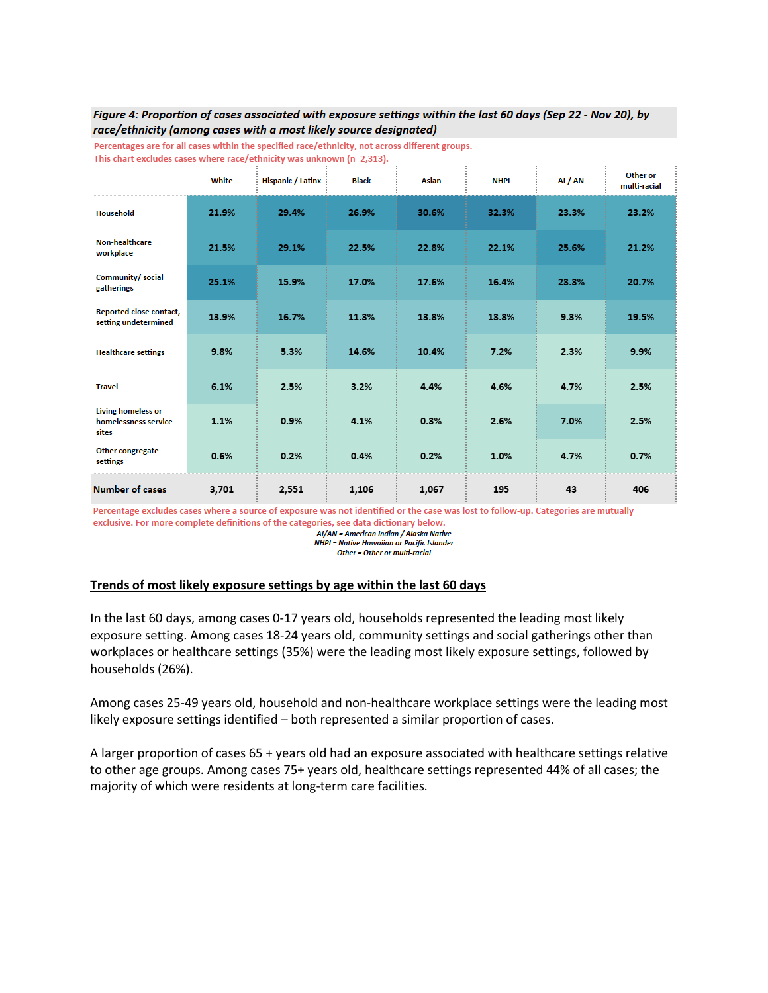#### Figure 4: Proportion of cases associated with exposure settings within the last 60 days (Sep 22 - Nov 20), by race/ethnicity (among cases with a most likely source designated)

|                                                            | White | <b>Hispanic / Latinx</b> | <b>Black</b> | Asian | <b>NHPI</b> | AI / AN | Other or<br>multi-racial |
|------------------------------------------------------------|-------|--------------------------|--------------|-------|-------------|---------|--------------------------|
| <b>Household</b>                                           | 21.9% | 29.4%                    | 26.9%        | 30.6% | 32.3%       | 23.3%   | 23.2%                    |
| <b>Non-healthcare</b><br>workplace                         | 21.5% | 29.1%                    | 22.5%        | 22.8% | 22.1%       | 25.6%   | 21.2%                    |
| Community/ social<br>gatherings                            | 25.1% | 15.9%                    | 17.0%        | 17.6% | 16.4%       | 23.3%   | 20.7%                    |
| Reported close contact,<br>setting undetermined            | 13.9% | 16.7%                    | 11.3%        | 13.8% | 13.8%       | 9.3%    | 19.5%                    |
| <b>Healthcare settings</b>                                 | 9.8%  | 5.3%                     | 14.6%        | 10.4% | 7.2%        | 2.3%    | 9.9%                     |
| <b>Travel</b>                                              | 6.1%  | 2.5%                     | 3.2%         | 4.4%  | 4.6%        | 4.7%    | 2.5%                     |
| <b>Living homeless or</b><br>homelessness service<br>sites | 1.1%  | 0.9%                     | 4.1%         | 0.3%  | 2.6%        | 7.0%    | 2.5%                     |
| Other congregate<br>settings                               | 0.6%  | 0.2%                     | 0.4%         | 0.2%  | 1.0%        | 4.7%    | 0.7%                     |
| Number of cases                                            | 3,701 | 2,551                    | 1,106        | 1,067 | 195         | 43      | 406                      |

Percentages are for all cases within the specified race/ethnicity, not across different groups. This chart excludes cases where race/ethnicity was unknown (n=2,313).

Percentage excludes cases where a source of exposure was not identified or the case was lost to follow-up. Categories are mutually exclusive. For more complete definitions of the categories, see data dictionary below.

AI/AN = American Indian / Alaska Native **NHPI = Native Hawaiian or Pacific Islander** 

Other = Other or multi-racial

#### **Trends of most likely exposure settings by age within the last 60 days**

In the last 60 days, among cases 0-17 years old, households represented the leading most likely exposure setting. Among cases 18-24 years old, community settings and social gatherings other than workplaces or healthcare settings (35%) were the leading most likely exposure settings, followed by households (26%).

Among cases 25-49 years old, household and non-healthcare workplace settings were the leading most likely exposure settings identified – both represented a similar proportion of cases.

A larger proportion of cases 65 + years old had an exposure associated with healthcare settings relative to other age groups. Among cases 75+ years old, healthcare settings represented 44% of all cases; the majority of which were residents at long-term care facilities.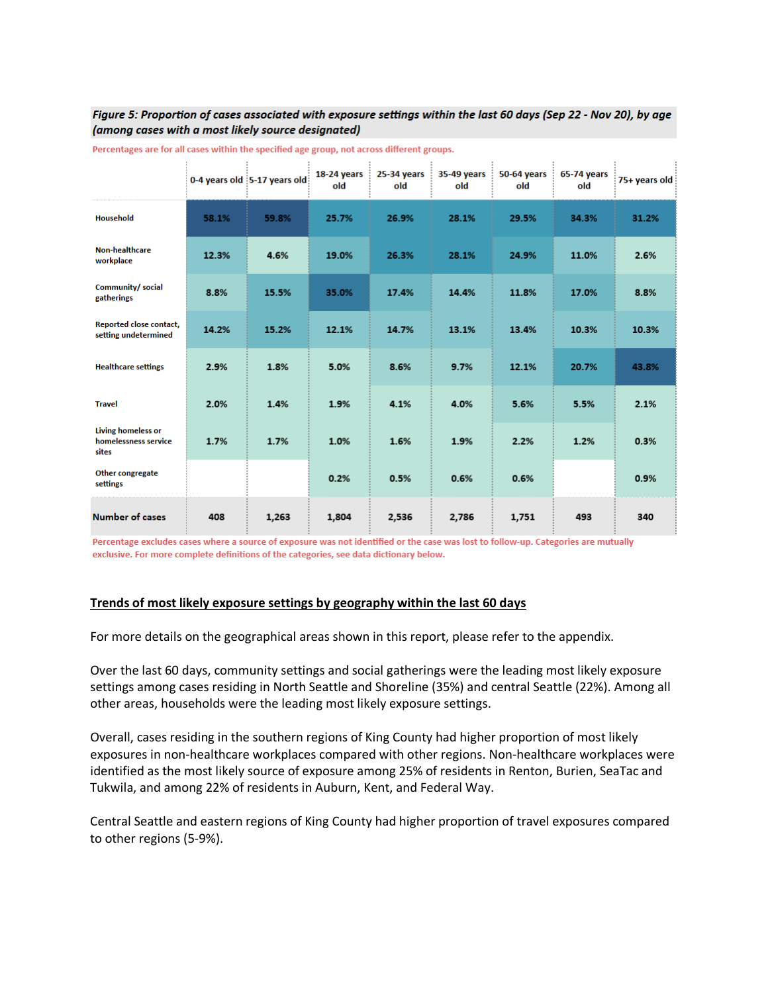#### Figure 5: Proportion of cases associated with exposure settings within the last 60 days (Sep 22 - Nov 20), by age (among cases with a most likely source designated)

|                                                            |       | 0-4 years old 5-17 years old | 18-24 years<br>old | 25-34 years<br>old | 35-49 years<br>old | 50-64 years<br>old | 65-74 years<br>old | 75+ years old |
|------------------------------------------------------------|-------|------------------------------|--------------------|--------------------|--------------------|--------------------|--------------------|---------------|
| <b>Household</b>                                           | 58.1% | 59.8%                        | 25.7%              | 26.9%              | 28.1%              | 29.5%              | 34.3%              | 31.2%         |
| <b>Non-healthcare</b><br>workplace                         | 12.3% | 4.6%                         | 19.0%              | 26.3%              | 28.1%              | 24.9%              | 11.0%              | 2.6%          |
| Community/ social<br>gatherings                            | 8.8%  | 15.5%                        | 35.0%              | 17.4%              | 14.4%              | 11.8%              | 17.0%              | 8.8%          |
| Reported close contact,<br>setting undetermined            | 14.2% | 15.2%                        | 12.1%              | 14.7%              | 13.1%              | 13.4%              | 10.3%              | 10.3%         |
| <b>Healthcare settings</b>                                 | 2.9%  | 1.8%                         | 5.0%               | 8.6%               | 9.7%               | 12.1%              | 20.7%              | 43.8%         |
| <b>Travel</b>                                              | 2.0%  | 1.4%                         | 1.9%               | 4.1%               | 4.0%               | 5.6%               | 5.5%               | 2.1%          |
| <b>Living homeless or</b><br>homelessness service<br>sites | 1.7%  | 1.7%                         | 1.0%               | 1.6%               | 1.9%               | 2.2%               | 1.2%               | 0.3%          |
| Other congregate<br>settings                               |       |                              | 0.2%               | 0.5%               | 0.6%               | 0.6%               |                    | 0.9%          |
| <b>Number of cases</b>                                     | 408   | 1,263                        | 1,804              | 2,536              | 2,786              | 1,751              | 493                | 340           |

Percentages are for all cases within the specified age group, not across different groups.

Percentage excludes cases where a source of exposure was not identified or the case was lost to follow-up. Categories are mutually exclusive. For more complete definitions of the categories, see data dictionary below.

#### **Trends of most likely exposure settings by geography within the last 60 days**

For more details on the geographical areas shown in this report, please refer to the appendix.

Over the last 60 days, community settings and social gatherings were the leading most likely exposure settings among cases residing in North Seattle and Shoreline (35%) and central Seattle (22%). Among all other areas, households were the leading most likely exposure settings.

Overall, cases residing in the southern regions of King County had higher proportion of most likely exposures in non-healthcare workplaces compared with other regions. Non-healthcare workplaces were identified as the most likely source of exposure among 25% of residents in Renton, Burien, SeaTac and Tukwila, and among 22% of residents in Auburn, Kent, and Federal Way.

Central Seattle and eastern regions of King County had higher proportion of travel exposures compared to other regions (5-9%).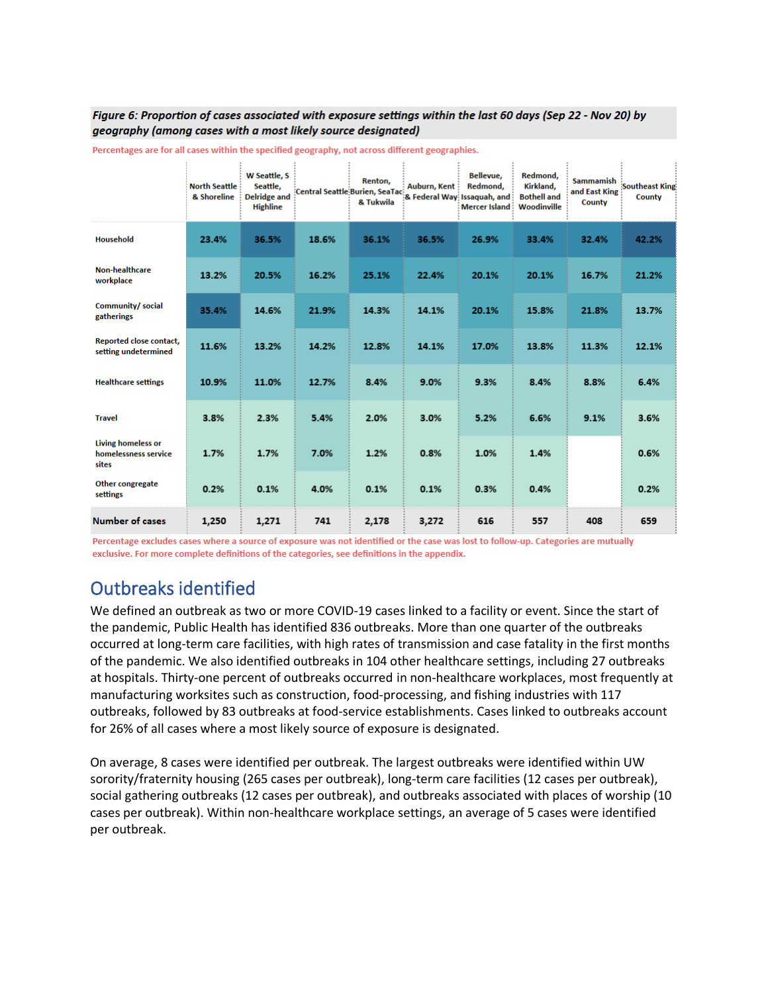#### Figure 6: Proportion of cases associated with exposure settings within the last 60 days (Sep 22 - Nov 20) by geography (among cases with a most likely source designated)

|                                                            | <b>North Seattle</b><br>& Shoreline | W Seattle, S<br>Seattle,<br><b>Delridge and</b><br><b>Highline</b> |       | Renton,<br>& Tukwila | Auburn, Kent | Bellevue,<br>Redmond,<br>:<br> Central Seattle:Burien, SeaTac: Care in Allen Lissaquah, and<br><b>Mercer Island:</b> | Redmond,<br>Kirkland,<br><b>Bothell and</b><br>Woodinville | <b>Sammamish</b><br>and East King<br>County | <b>Southeast King</b><br>County |
|------------------------------------------------------------|-------------------------------------|--------------------------------------------------------------------|-------|----------------------|--------------|----------------------------------------------------------------------------------------------------------------------|------------------------------------------------------------|---------------------------------------------|---------------------------------|
| <b>Household</b>                                           | 23.4%                               | 36.5%                                                              | 18.6% | 36.1%                | 36.5%        | 26.9%                                                                                                                | 33.4%                                                      | 32.4%                                       | 42.2%                           |
| <b>Non-healthcare</b><br>workplace                         | 13.2%                               | 20.5%                                                              | 16.2% | 25.1%                | 22.4%        | 20.1%                                                                                                                | 20.1%                                                      | 16.7%                                       | 21.2%                           |
| <b>Community/social</b><br>gatherings                      | 35.4%                               | 14.6%                                                              | 21.9% | 14.3%                | 14.1%        | 20.1%                                                                                                                | 15.8%                                                      | 21.8%                                       | 13.7%                           |
| <b>Reported close contact,</b><br>setting undetermined     | 11.6%                               | 13.2%                                                              | 14.2% | 12.8%                | 14.1%        | 17.0%                                                                                                                | 13.8%                                                      | 11.3%                                       | 12.1%                           |
| <b>Healthcare settings</b>                                 | 10.9%                               | 11.0%                                                              | 12.7% | 8.4%                 | 9.0%         | 9.3%                                                                                                                 | 8.4%                                                       | 8.8%                                        | 6.4%                            |
| <b>Travel</b>                                              | 3.8%                                | 2.3%                                                               | 5.4%  | 2.0%                 | 3.0%         | 5.2%                                                                                                                 | 6.6%                                                       | 9.1%                                        | 3.6%                            |
| <b>Living homeless or</b><br>homelessness service<br>sites | 1.7%                                | 1.7%                                                               | 7.0%  | 1.2%                 | 0.8%         | 1.0%                                                                                                                 | 1.4%                                                       |                                             | 0.6%                            |
| <b>Other congregate</b><br>settings                        | 0.2%                                | 0.1%                                                               | 4.0%  | 0.1%                 | 0.1%         | 0.3%                                                                                                                 | 0.4%                                                       |                                             | 0.2%                            |
| <b>Number of cases</b>                                     | 1,250                               | 1,271                                                              | 741   | 2,178                | 3,272        | 616                                                                                                                  | 557                                                        | 408                                         | 659                             |

Percentages are for all cases within the specified geography, not across different geographies.

Percentage excludes cases where a source of exposure was not identified or the case was lost to follow-up. Categories are mutually exclusive. For more complete definitions of the categories, see definitions in the appendix.

# <span id="page-10-0"></span>Outbreaks identified

We defined an outbreak as two or more COVID-19 cases linked to a facility or event. Since the start of the pandemic, Public Health has identified 836 outbreaks. More than one quarter of the outbreaks occurred at long-term care facilities, with high rates of transmission and case fatality in the first months of the pandemic. We also identified outbreaks in 104 other healthcare settings, including 27 outbreaks at hospitals. Thirty-one percent of outbreaks occurred in non-healthcare workplaces, most frequently at manufacturing worksites such as construction, food-processing, and fishing industries with 117 outbreaks, followed by 83 outbreaks at food-service establishments. Cases linked to outbreaks account for 26% of all cases where a most likely source of exposure is designated.

On average, 8 cases were identified per outbreak. The largest outbreaks were identified within UW sorority/fraternity housing (265 cases per outbreak), long-term care facilities (12 cases per outbreak), social gathering outbreaks (12 cases per outbreak), and outbreaks associated with places of worship (10 cases per outbreak). Within non-healthcare workplace settings, an average of 5 cases were identified per outbreak.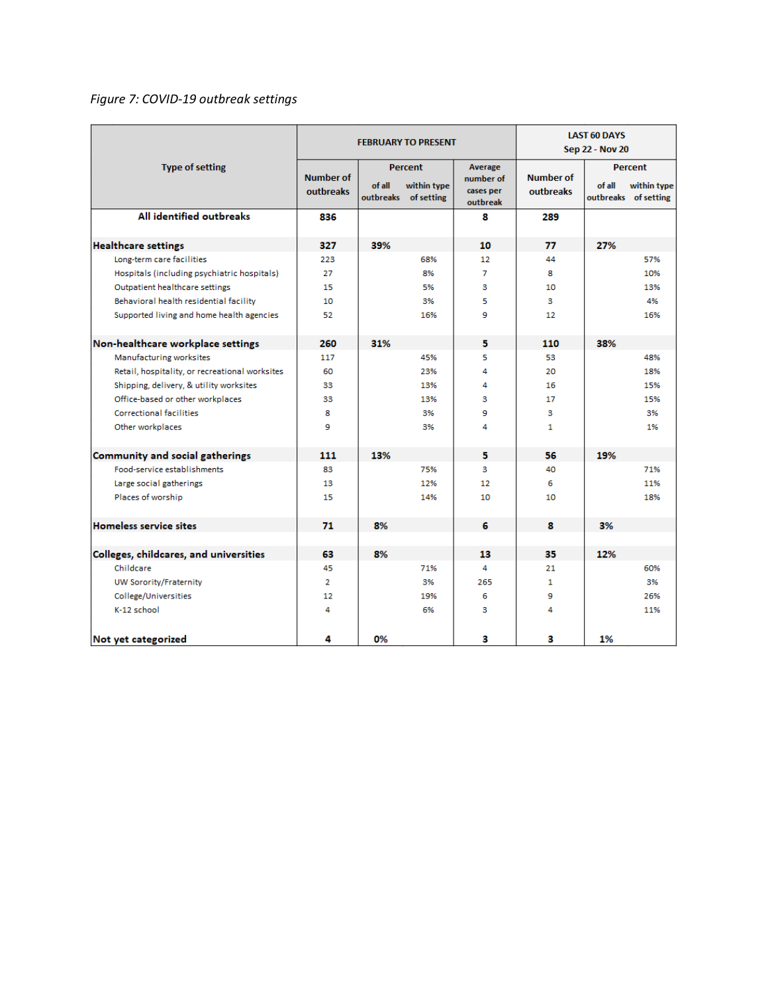### *Figure 7: COVID-19 outbreak settings*

|                                                |                               |                     | <b>FEBRUARY TO PRESENT</b>                  | <b>LAST 60 DAYS</b><br>Sep 22 - Nov 20        |                               |        |                                                |
|------------------------------------------------|-------------------------------|---------------------|---------------------------------------------|-----------------------------------------------|-------------------------------|--------|------------------------------------------------|
| <b>Type of setting</b>                         | <b>Number of</b><br>outbreaks | of all<br>outbreaks | <b>Percent</b><br>within type<br>of setting | Average<br>number of<br>cases per<br>outbreak | <b>Number of</b><br>outbreaks | of all | Percent<br>within type<br>outbreaks of setting |
| All identified outbreaks                       | 836                           |                     |                                             | 8                                             | 289                           |        |                                                |
| <b>Healthcare settings</b>                     | 327                           | 39%                 |                                             | 10                                            | 77                            | 27%    |                                                |
| Long-term care facilities                      | 223                           |                     | 68%                                         | 12                                            | 44                            |        | 57%                                            |
| Hospitals (including psychiatric hospitals)    | 27                            |                     | 8%                                          | 7                                             | 8                             |        | 10%                                            |
| Outpatient healthcare settings                 | 15                            |                     | 5%                                          | з                                             | 10                            |        | 13%                                            |
| Behavioral health residential facility         | 10                            |                     | 3%                                          | 5                                             | з                             |        | 4%                                             |
| Supported living and home health agencies      | 52                            |                     | 16%                                         | 9                                             | 12                            |        | 16%                                            |
| Non-healthcare workplace settings              | 260                           | 31%                 |                                             | 5                                             | 110                           | 38%    |                                                |
| Manufacturing worksites                        | 117                           |                     | 45%                                         | 5                                             | 53                            |        | 48%                                            |
| Retail, hospitality, or recreational worksites | 60                            |                     | 23%                                         | 4                                             | 20                            |        | 18%                                            |
| Shipping, delivery, & utility worksites        | 33                            |                     | 13%                                         | 4                                             | 16                            |        | 15%                                            |
| Office-based or other workplaces               | 33                            |                     | 13%                                         | з                                             | 17                            |        | 15%                                            |
| <b>Correctional facilities</b>                 | 8                             |                     | 3%                                          | 9                                             | з                             |        | 3%                                             |
| Other workplaces                               | 9                             |                     | 3%                                          | 4                                             | 1                             |        | 1%                                             |
| Community and social gatherings                | 111                           | 13%                 |                                             | 5                                             | 56                            | 19%    |                                                |
| Food-service establishments                    | 83                            |                     | 75%                                         | з                                             | 40                            |        | 71%                                            |
| Large social gatherings                        | 13                            |                     | 12%                                         | 12                                            | 6                             |        | 11%                                            |
| Places of worship                              | 15                            |                     | 14%                                         | 10                                            | 10                            |        | 18%                                            |
| <b>Homeless service sites</b>                  | 71                            | 8%                  |                                             | 6                                             | 8                             | 3%     |                                                |
|                                                |                               |                     |                                             |                                               |                               |        |                                                |
| Colleges, childcares, and universities         | 63                            | 8%                  |                                             | 13                                            | 35                            | 12%    |                                                |
| Childcare                                      | 45                            |                     | 71%                                         | 4                                             | 21                            |        | 60%                                            |
| UW Sorority/Fraternity                         | $\overline{2}$                |                     | 3%                                          | 265                                           | $\mathbf{1}$                  |        | 3%                                             |
| College/Universities                           | 12                            |                     | 19%                                         | 6                                             | 9                             |        | 26%                                            |
| K-12 school                                    | 4                             |                     | 6%                                          | з                                             | 4                             |        | 11%                                            |
| Not yet categorized                            | 4                             | 0%                  |                                             | з                                             | з                             | 1%     |                                                |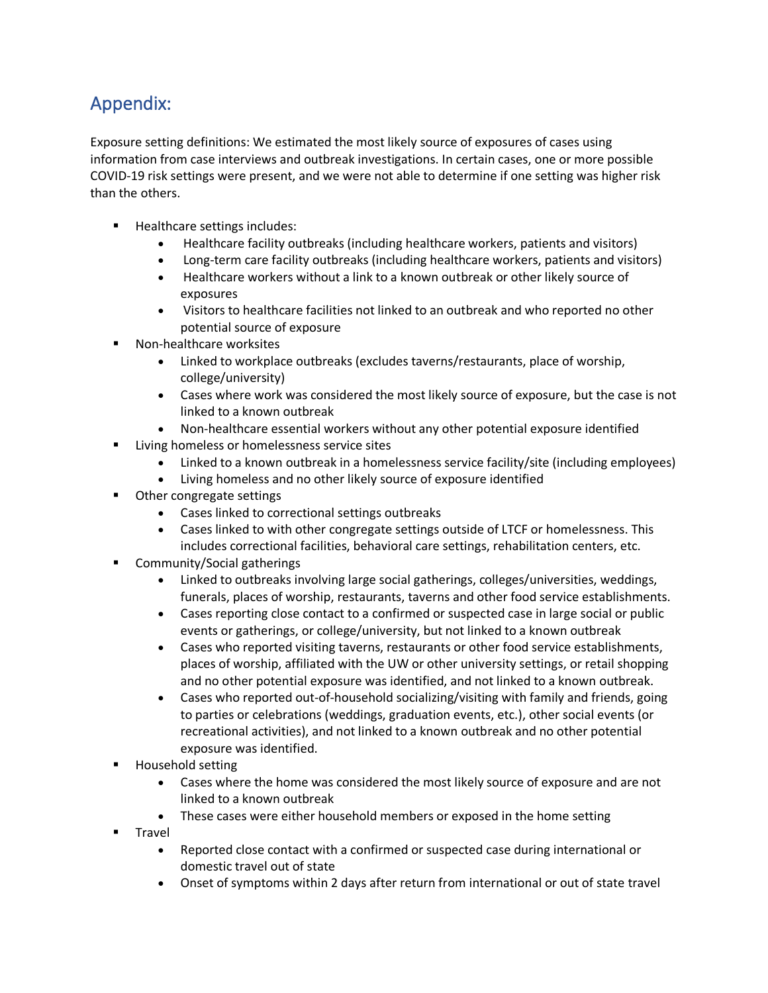# <span id="page-12-0"></span>Appendix:

Exposure setting definitions: We estimated the most likely source of exposures of cases using information from case interviews and outbreak investigations. In certain cases, one or more possible COVID-19 risk settings were present, and we were not able to determine if one setting was higher risk than the others.

- **Healthcare settings includes:** 
	- Healthcare facility outbreaks (including healthcare workers, patients and visitors)
	- Long-term care facility outbreaks (including healthcare workers, patients and visitors)
	- Healthcare workers without a link to a known outbreak or other likely source of exposures
	- Visitors to healthcare facilities not linked to an outbreak and who reported no other potential source of exposure
- Non-healthcare worksites
	- Linked to workplace outbreaks (excludes taverns/restaurants, place of worship, college/university)
	- Cases where work was considered the most likely source of exposure, but the case is not linked to a known outbreak
	- Non-healthcare essential workers without any other potential exposure identified
- **Living homeless or homelessness service sites** 
	- Linked to a known outbreak in a homelessness service facility/site (including employees)
	- Living homeless and no other likely source of exposure identified
- Other congregate settings
	- Cases linked to correctional settings outbreaks
	- Cases linked to with other congregate settings outside of LTCF or homelessness. This includes correctional facilities, behavioral care settings, rehabilitation centers, etc.
- Community/Social gatherings
	- Linked to outbreaks involving large social gatherings, colleges/universities, weddings, funerals, places of worship, restaurants, taverns and other food service establishments.
	- Cases reporting close contact to a confirmed or suspected case in large social or public events or gatherings, or college/university, but not linked to a known outbreak
	- Cases who reported visiting taverns, restaurants or other food service establishments, places of worship, affiliated with the UW or other university settings, or retail shopping and no other potential exposure was identified, and not linked to a known outbreak.
	- Cases who reported out-of-household socializing/visiting with family and friends, going to parties or celebrations (weddings, graduation events, etc.), other social events (or recreational activities), and not linked to a known outbreak and no other potential exposure was identified.
- Household setting
	- Cases where the home was considered the most likely source of exposure and are not linked to a known outbreak
	- These cases were either household members or exposed in the home setting
- Travel
	- Reported close contact with a confirmed or suspected case during international or domestic travel out of state
	- Onset of symptoms within 2 days after return from international or out of state travel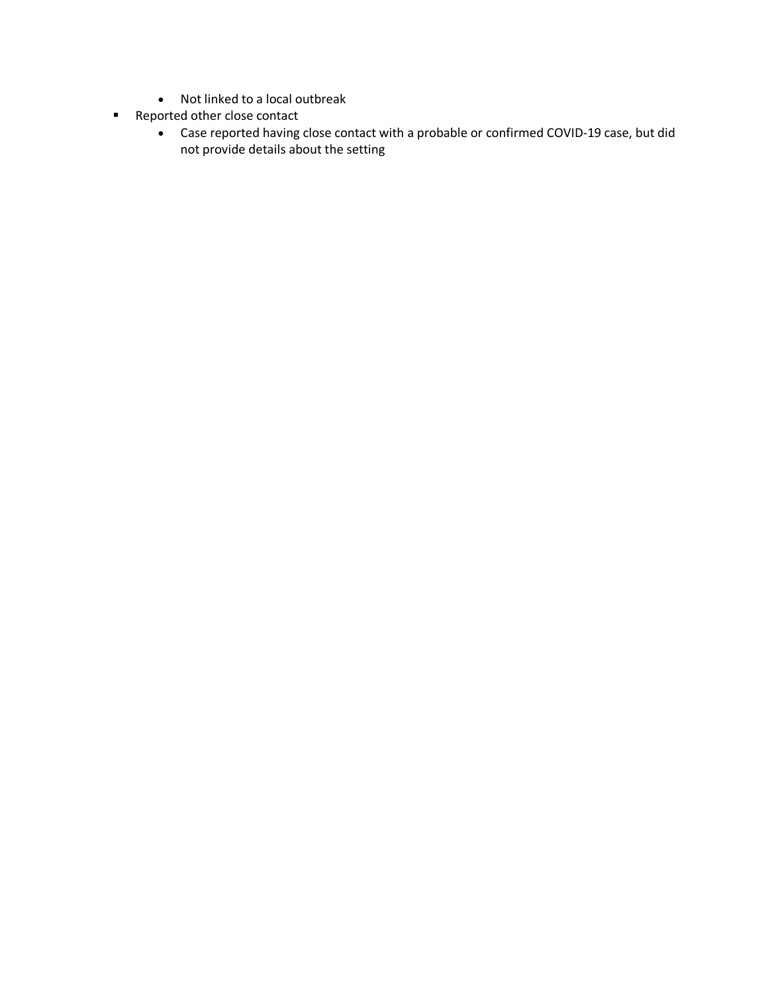- Not linked to a local outbreak
- **Reported other close contact** 
	- Case reported having close contact with a probable or confirmed COVID-19 case, but did not provide details about the setting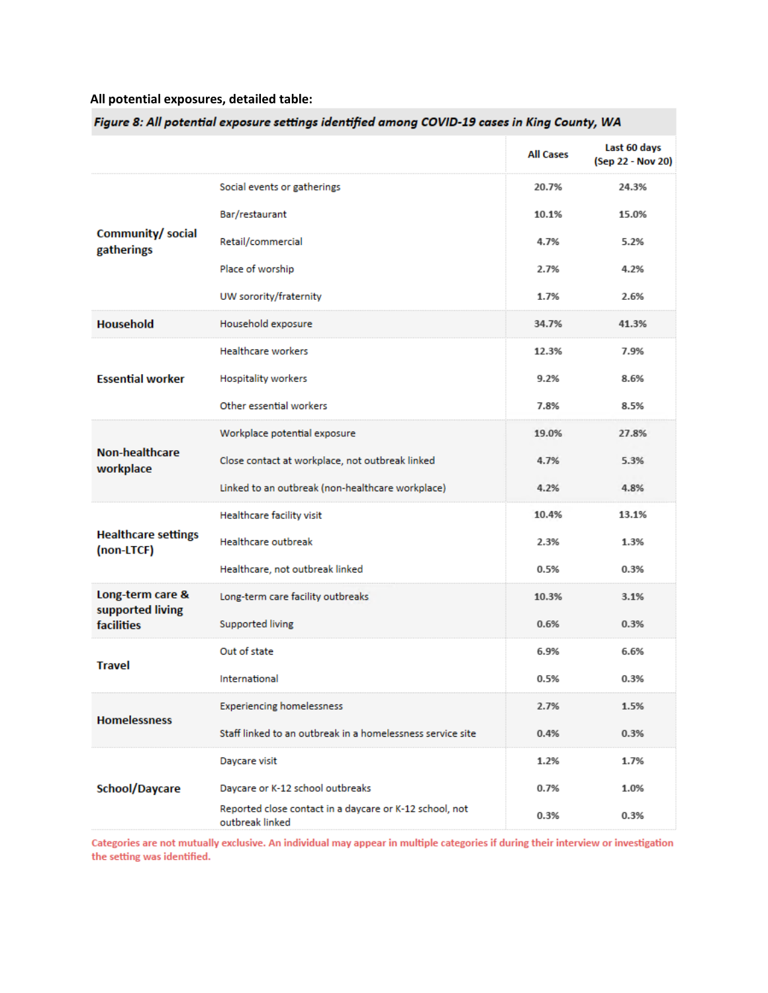### **All potential exposures, detailed table:**

|                                          |                                                                            | <b>All Cases</b> | Last 60 days<br>(Sep 22 - Nov 20) |
|------------------------------------------|----------------------------------------------------------------------------|------------------|-----------------------------------|
|                                          | Social events or gatherings                                                | 20.7%            | 24.3%                             |
| Community/ social<br>gatherings          | Bar/restaurant                                                             | 10.1%            | 15.0%                             |
|                                          | Retail/commercial                                                          | 4.7%             | 5.2%                              |
|                                          | Place of worship                                                           | 2.7%             | 4.2%                              |
|                                          | UW sorority/fraternity                                                     | 1.7%             | 2.6%                              |
| <b>Household</b>                         | Household exposure                                                         | 34.7%            | 41.3%                             |
|                                          | <b>Healthcare workers</b>                                                  | 12.3%            | 7.9%                              |
| <b>Essential worker</b>                  | <b>Hospitality workers</b>                                                 | 9.2%             | 8.6%                              |
|                                          | Other essential workers                                                    | 7.8%             | 8.5%                              |
| <b>Non-healthcare</b><br>workplace       | Workplace potential exposure                                               | 19.0%            | 27.8%                             |
|                                          | Close contact at workplace, not outbreak linked                            | 4.7%             | 5.3%                              |
|                                          | Linked to an outbreak (non-healthcare workplace)                           | 4.2%             | 4.8%                              |
|                                          | Healthcare facility visit                                                  | 10.4%            | 13.1%                             |
| <b>Healthcare settings</b><br>(non-LTCF) | <b>Healthcare outbreak</b>                                                 | 2.3%             | 1.3%                              |
|                                          | Healthcare, not outbreak linked                                            | 0.5%             | 0.3%                              |
| Long-term care &<br>supported living     | Long-term care facility outbreaks                                          | 10.3%            | 3.1%                              |
| <b>facilities</b>                        | Supported living                                                           | 0.6%             | 0.3%                              |
| <b>Travel</b>                            | Out of state                                                               | 6.9%             | 6.6%                              |
|                                          | International                                                              | 0.5%             | 0.3%                              |
| <b>Homelessness</b>                      | <b>Experiencing homelessness</b>                                           | 2.7%             | 1.5%                              |
|                                          | Staff linked to an outbreak in a homelessness service site                 | 0.4%             | 0.3%                              |
|                                          | Daycare visit                                                              | 1.2%             | 1.7%                              |
| School/Daycare                           | Daycare or K-12 school outbreaks                                           | 0.7%             | 1.0%                              |
|                                          | Reported close contact in a daycare or K-12 school, not<br>outbreak linked | 0.3%             | 0.3%                              |

Figure 8: All potential exposure settings identified among COVID-19 cases in King County, WA

Categories are not mutually exclusive. An individual may appear in multiple categories if during their interview or investigation the setting was identified.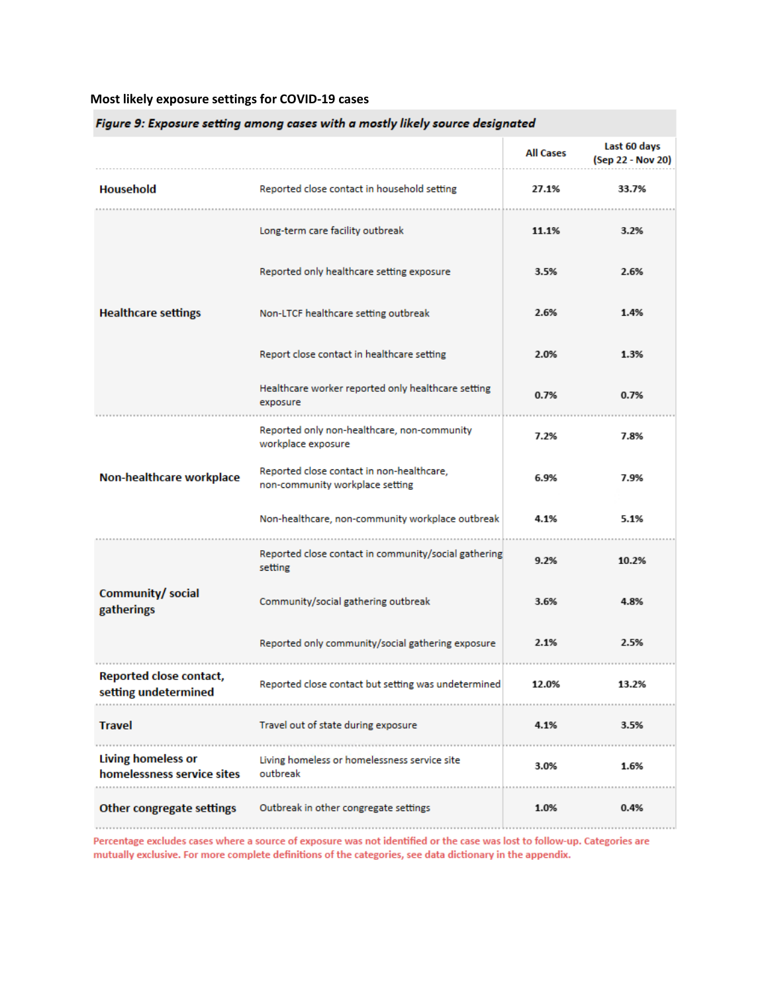### **Most likely exposure settings for COVID-19 cases**

| Figure 9: Exposure setting among cases with a mostly likely source designated |                                                                              |                  |                                   |  |  |  |  |
|-------------------------------------------------------------------------------|------------------------------------------------------------------------------|------------------|-----------------------------------|--|--|--|--|
|                                                                               |                                                                              | <b>All Cases</b> | Last 60 days<br>(Sep 22 - Nov 20) |  |  |  |  |
| <b>Household</b>                                                              | Reported close contact in household setting                                  | 27.1%            | 33.7%                             |  |  |  |  |
|                                                                               | Long-term care facility outbreak                                             | 11.1%            | 3.2%                              |  |  |  |  |
|                                                                               | Reported only healthcare setting exposure                                    | 3.5%             | 2.6%                              |  |  |  |  |
| <b>Healthcare settings</b>                                                    | Non-LTCF healthcare setting outbreak                                         | 2.6%             | 1.4%                              |  |  |  |  |
|                                                                               | Report close contact in healthcare setting                                   | 2.0%             | 1.3%                              |  |  |  |  |
|                                                                               | Healthcare worker reported only healthcare setting<br>exposure               | 0.7%             | 0.7%                              |  |  |  |  |
|                                                                               | Reported only non-healthcare, non-community<br>workplace exposure            | 7.2%             | 7.8%                              |  |  |  |  |
| Non-healthcare workplace                                                      | Reported close contact in non-healthcare,<br>non-community workplace setting | 6.9%             | 7.9%                              |  |  |  |  |
|                                                                               | Non-healthcare, non-community workplace outbreak                             | 4.1%             | 5.1%                              |  |  |  |  |
|                                                                               | Reported close contact in community/social gathering<br>setting              | 9.2%             | 10.2%                             |  |  |  |  |
| Community/ social<br>gatherings                                               | Community/social gathering outbreak                                          | 3.6%             | 4.8%                              |  |  |  |  |
|                                                                               | Reported only community/social gathering exposure                            | 2.1%             | 2.5%                              |  |  |  |  |
| Reported close contact,<br>setting undetermined                               | Reported close contact but setting was undetermined                          | 12.0%            | 13.2%                             |  |  |  |  |
| <b>Travel</b>                                                                 | Travel out of state during exposure                                          | 4.1%             | 3.5%                              |  |  |  |  |
| <b>Living homeless or</b><br>homelessness service sites                       | Living homeless or homelessness service site<br>outbreak                     | 3.0%             | 1.6%                              |  |  |  |  |
| Other congregate settings                                                     | Outbreak in other congregate settings                                        | 1.0%             | 0.4%                              |  |  |  |  |

Percentage excludes cases where a source of exposure was not identified or the case was lost to follow-up. Categories are mutually exclusive. For more complete definitions of the categories, see data dictionary in the appendix.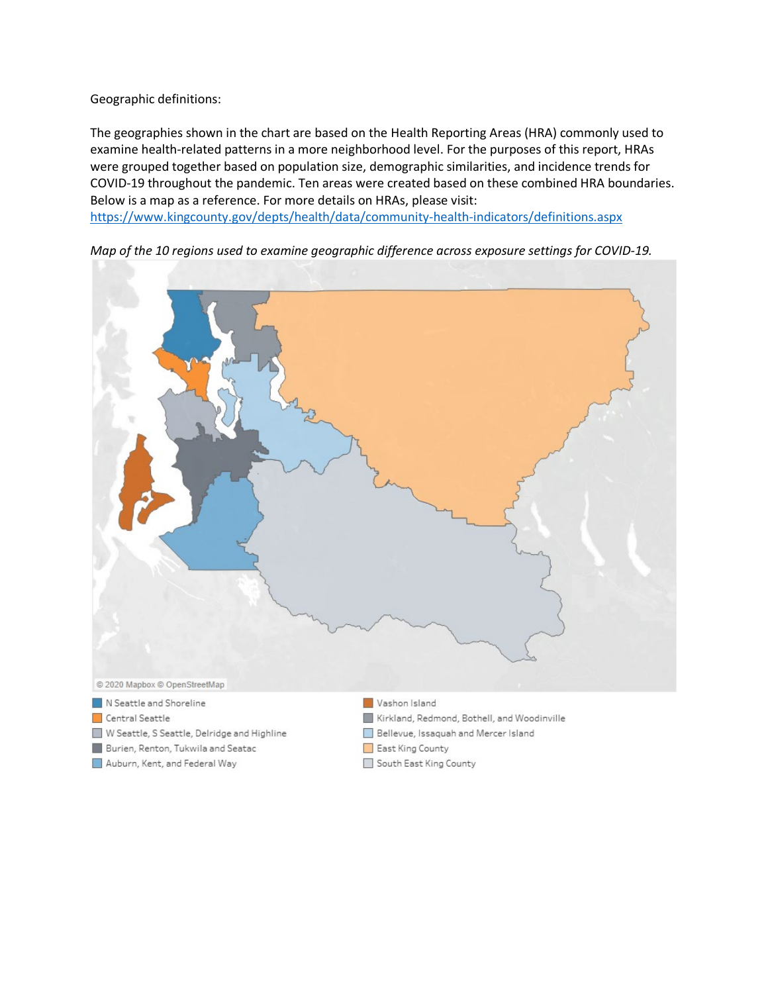Geographic definitions:

The geographies shown in the chart are based on the Health Reporting Areas (HRA) commonly used to examine health-related patterns in a more neighborhood level. For the purposes of this report, HRAs were grouped together based on population size, demographic similarities, and incidence trends for COVID-19 throughout the pandemic. Ten areas were created based on these combined HRA boundaries. Below is a map as a reference. For more details on HRAs, please visit: <https://www.kingcounty.gov/depts/health/data/community-health-indicators/definitions.aspx>





- Central Seattle
- W Seattle, S Seattle, Delridge and Highline
- Burien, Renton, Tukwila and Seatac
- Auburn, Kent, and Federal Way
- 
- Kirkland, Redmond, Bothell, and Woodinville
- Bellevue, Issaquah and Mercer Island
- East King County
- South East King County